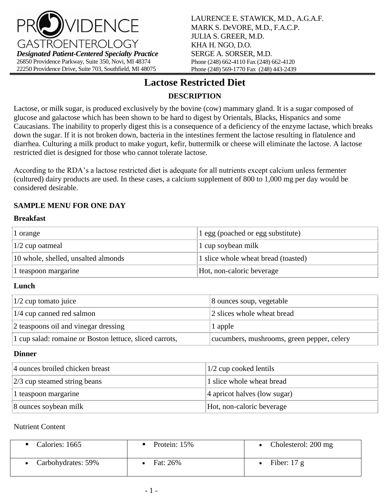

# **Lactose Restricted Diet**

# **DESCRIPTION**

Lactose, or milk sugar, is produced exclusively by the bovine (cow) mammary gland. It is a sugar composed of glucose and galactose which has been shown to be hard to digest by Orientals, Blacks, Hispanics and some Caucasians. The inability to properly digest this is a consequence of a deficiency of the enzyme lactase, which breaks down the sugar. If it is not broken down, bacteria in the intestines ferment the lactose resulting in flatulence and diarrhea. Culturing a milk product to make yogurt, kefir, buttermilk or cheese will eliminate the lactose. A lactose restricted diet is designed for those who cannot tolerate lactose.

According to the RDA's a lactose restricted diet is adequate for all nutrients except calcium unless fermenter (cultured) dairy products are used. In these cases, a calcium supplement of 800 to 1,000 mg per day would be considered desirable.

## **SAMPLE MENU FOR ONE DAY**

#### **Breakfast**

| 1 orange                            | 1 egg (poached or egg substitute)   |
|-------------------------------------|-------------------------------------|
| $ 1/2$ cup oatmeal                  | 1 cup soybean milk                  |
| 10 whole, shelled, unsalted almonds | 1 slice whole wheat bread (toasted) |
| 1 teaspoon margarine                | Hot, non-caloric beverage           |

#### **Lunch**

| $ 1/2$ cup tomato juice                                 | 8 ounces soup, vegetable                   |  |
|---------------------------------------------------------|--------------------------------------------|--|
| $1/4$ cup canned red salmon                             | 2 slices whole wheat bread                 |  |
| 2 teaspoons oil and vinegar dressing                    | 1 apple                                    |  |
| 1 cup salad: romaine or Boston lettuce, sliced carrots, | cucumbers, mushrooms, green pepper, celery |  |

#### **Dinner**

| 4 ounces broiled chicken breast | $1/2$ cup cooked lentils        |  |
|---------------------------------|---------------------------------|--|
| $ 2/3$ cup steamed string beans | 1 slice whole wheat bread       |  |
| 1 teaspoon margarine            | $ 4$ apricot halves (low sugar) |  |
| 8 ounces soybean milk           | Hot, non-caloric beverage       |  |

#### Nutrient Content

| Calories: 1665     | Protein: 15% | Cholesterol: 200 mg |
|--------------------|--------------|---------------------|
| Carbohydrates: 59% | Fat: 26%     | Fiber: $17 g$       |